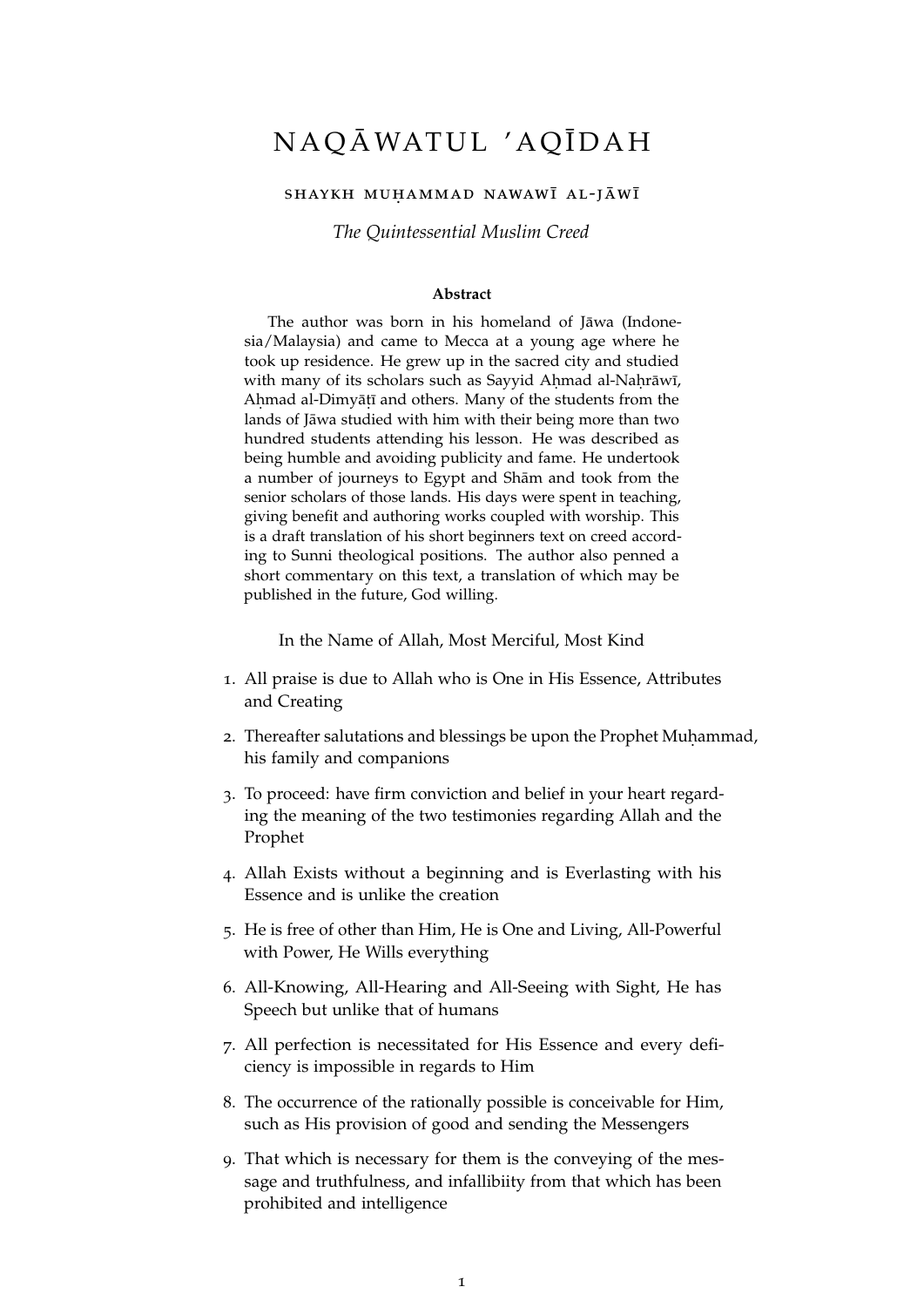## NAQĀWATUL 'AQĪDAH

## SHAYKH MUHAMMAD NAWAWĪ AL-JĀWĪ

*The Quintessential Muslim Creed*

## **Abstract**

The author was born in his homeland of Jāwa (Indonesia/Malaysia) and came to Mecca at a young age where he took up residence. He grew up in the sacred city and studied with many of its scholars such as Sayyid Ahmad al-Naḥrāwī, Aḥmad al-Dimyāṭī and others. Many of the students from the lands of Jāwa studied with him with their being more than two hundred students attending his lesson. He was described as being humble and avoiding publicity and fame. He undertook a number of journeys to Egypt and Shām and took from the senior scholars of those lands. His days were spent in teaching, giving benefit and authoring works coupled with worship. This is a draft translation of his short beginners text on creed according to Sunni theological positions. The author also penned a short commentary on this text, a translation of which may be published in the future, God willing.

In the Name of Allah, Most Merciful, Most Kind

- 1. All praise is due to Allah who is One in His Essence, Attributes and Creating
- 2. Thereafter salutations and blessings be upon the Prophet Muhammad, his family and companions
- 3. To proceed: have firm conviction and belief in your heart regarding the meaning of the two testimonies regarding Allah and the Prophet
- 4. Allah Exists without a beginning and is Everlasting with his Essence and is unlike the creation
- 5. He is free of other than Him, He is One and Living, All-Powerful with Power, He Wills everything
- 6. All-Knowing, All-Hearing and All-Seeing with Sight, He has Speech but unlike that of humans
- 7. All perfection is necessitated for His Essence and every deficiency is impossible in regards to Him
- 8. The occurrence of the rationally possible is conceivable for Him, such as His provision of good and sending the Messengers
- 9. That which is necessary for them is the conveying of the message and truthfulness, and infallibiity from that which has been prohibited and intelligence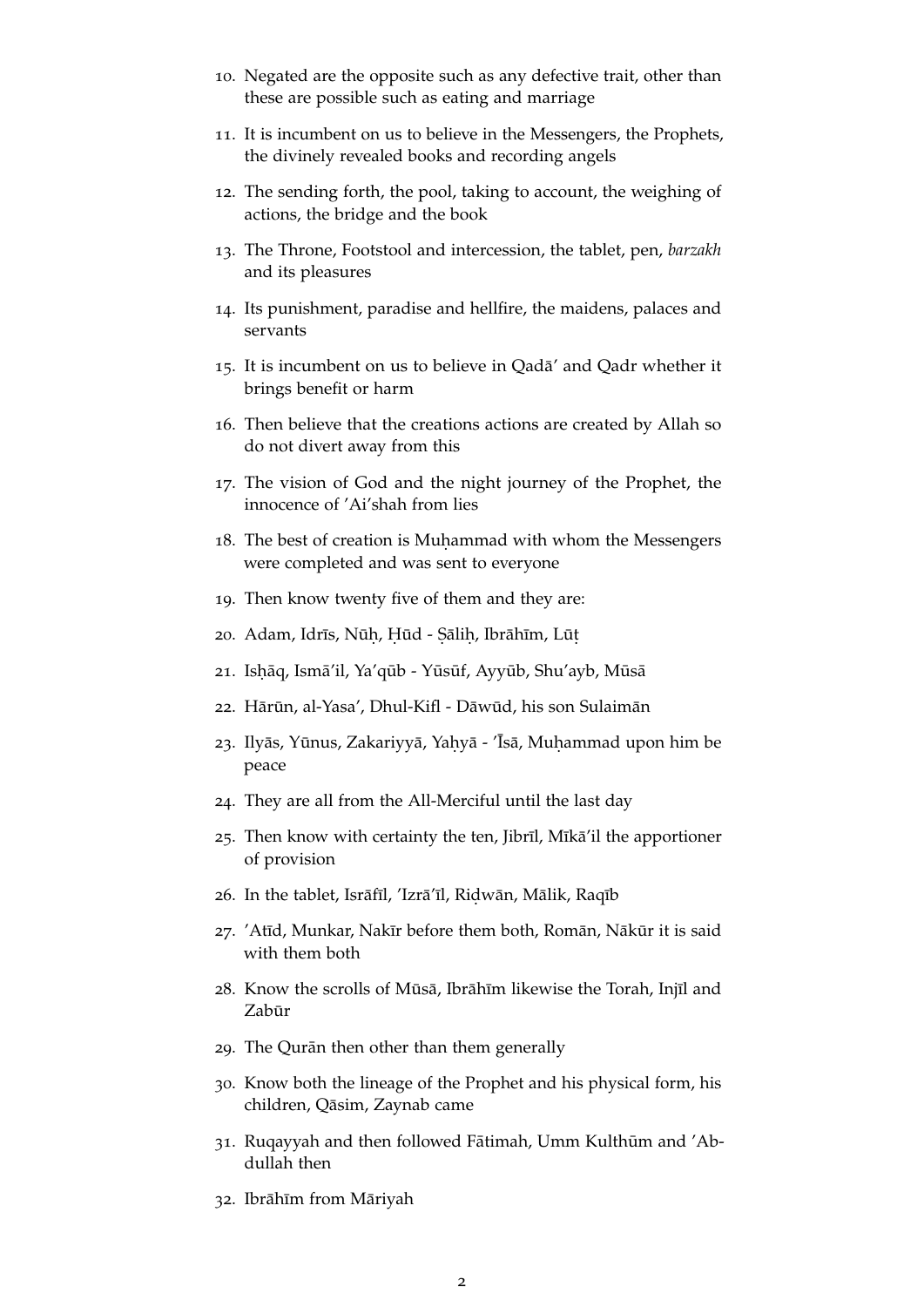- 10. Negated are the opposite such as any defective trait, other than these are possible such as eating and marriage
- 11. It is incumbent on us to believe in the Messengers, the Prophets, the divinely revealed books and recording angels
- 12. The sending forth, the pool, taking to account, the weighing of actions, the bridge and the book
- 13. The Throne, Footstool and intercession, the tablet, pen, *barzakh* and its pleasures
- 14. Its punishment, paradise and hellfire, the maidens, palaces and servants
- 15. It is incumbent on us to believe in Qada' and Qadr whether it ¯ brings benefit or harm
- 16. Then believe that the creations actions are created by Allah so do not divert away from this
- 17. The vision of God and the night journey of the Prophet, the innocence of 'Ai'shah from lies
- 18. The best of creation is Muhammad with whom the Messengers were completed and was sent to everyone
- 19. Then know twenty five of them and they are:
- 20. Adam, Idrīs, Nūḥ, Ḥūd Ṣāliḥ, Ibrāhīm, Lūṭ
- 21. Ishāq, Ismā'il, Ya'qūb Yūsūf, Ayyūb, Shu'ayb, Mūsā
- 22. Hārūn, al-Yasa', Dhul-Kifl Dāwūd, his son Sulaimān
- 23. Ilyās, Yūnus, Zakariyyā, Yaḥyā 'Īsā, Muḥammad upon him be peace
- 24. They are all from the All-Merciful until the last day
- 25. Then know with certainty the ten, Jibrīl, Mīkā'il the apportioner of provision
- 26. In the tablet, Isrāfīl, 'Izrā'īl, Ridwān, Mālik, Raqīb
- 27. 'Atīd, Munkar, Nakīr before them both, Romān, Nākūr it is said with them both
- 28. Know the scrolls of Mūsā, Ibrāhīm likewise the Torah, Injīl and Zabūr
- 29. The Qurān then other than them generally
- 30. Know both the lineage of the Prophet and his physical form, his children, Qāsim, Zaynab came
- 31. Rugayyah and then followed Fātimah, Umm Kulthūm and 'Abdullah then
- 32. Ibrāhīm from Māriyah